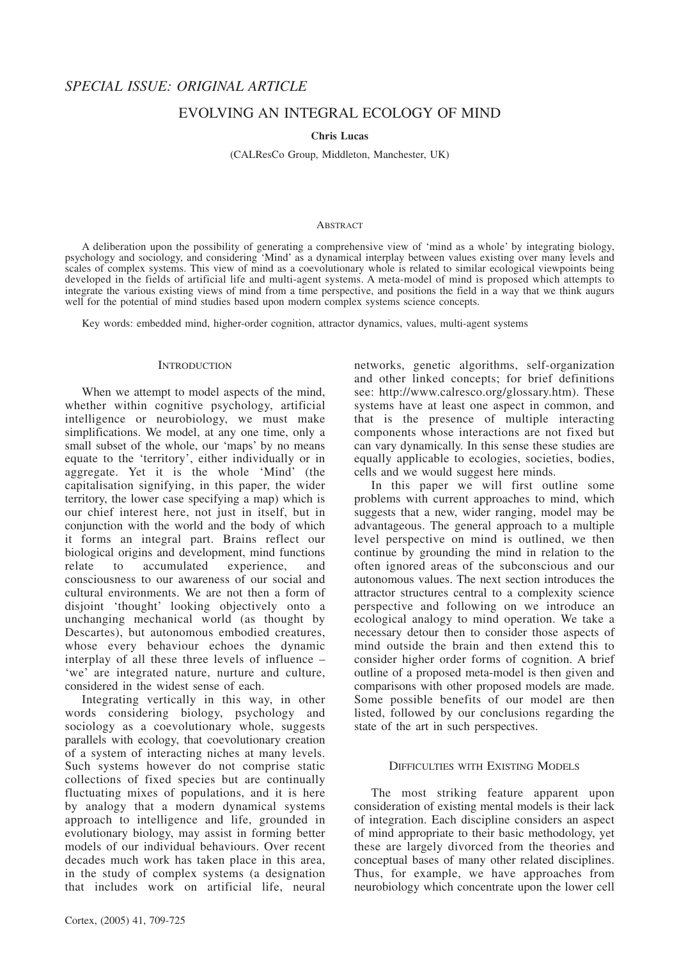# EVOLVING AN INTEGRAL ECOLOGY OF MIND

## **Chris Lucas**

(CALResCo Group, Middleton, Manchester, UK)

### **ABSTRACT**

A deliberation upon the possibility of generating a comprehensive view of 'mind as a whole' by integrating biology, psychology and sociology, and considering 'Mind' as a dynamical interplay between values existing over many levels and scales of complex systems. This view of mind as a coevolutionary whole is related to similar ecological viewpoints being developed in the fields of artificial life and multi-agent systems. A meta-model of mind is proposed which attempts to integrate the various existing views of mind from a time perspective, and positions the field in a way that we think augurs well for the potential of mind studies based upon modern complex systems science concepts.

Key words: embedded mind, higher-order cognition, attractor dynamics, values, multi-agent systems

## **INTRODUCTION**

When we attempt to model aspects of the mind, whether within cognitive psychology, artificial intelligence or neurobiology, we must make simplifications. We model, at any one time, only a small subset of the whole, our 'maps' by no means equate to the 'territory', either individually or in aggregate. Yet it is the whole 'Mind' (the capitalisation signifying, in this paper, the wider territory, the lower case specifying a map) which is our chief interest here, not just in itself, but in conjunction with the world and the body of which it forms an integral part. Brains reflect our biological origins and development, mind functions relate to accumulated experience, and consciousness to our awareness of our social and cultural environments. We are not then a form of disjoint 'thought' looking objectively onto a unchanging mechanical world (as thought by Descartes), but autonomous embodied creatures, whose every behaviour echoes the dynamic interplay of all these three levels of influence – 'we' are integrated nature, nurture and culture, considered in the widest sense of each.

Integrating vertically in this way, in other words considering biology, psychology and sociology as a coevolutionary whole, suggests parallels with ecology, that coevolutionary creation of a system of interacting niches at many levels. Such systems however do not comprise static collections of fixed species but are continually fluctuating mixes of populations, and it is here by analogy that a modern dynamical systems approach to intelligence and life, grounded in evolutionary biology, may assist in forming better models of our individual behaviours. Over recent decades much work has taken place in this area, in the study of complex systems (a designation that includes work on artificial life, neural networks, genetic algorithms, self-organization and other linked concepts; for brief definitions see: http://www.calresco.org/glossary.htm). These systems have at least one aspect in common, and that is the presence of multiple interacting components whose interactions are not fixed but can vary dynamically. In this sense these studies are equally applicable to ecologies, societies, bodies, cells and we would suggest here minds.

In this paper we will first outline some problems with current approaches to mind, which suggests that a new, wider ranging, model may be advantageous. The general approach to a multiple level perspective on mind is outlined, we then continue by grounding the mind in relation to the often ignored areas of the subconscious and our autonomous values. The next section introduces the attractor structures central to a complexity science perspective and following on we introduce an ecological analogy to mind operation. We take a necessary detour then to consider those aspects of mind outside the brain and then extend this to consider higher order forms of cognition. A brief outline of a proposed meta-model is then given and comparisons with other proposed models are made. Some possible benefits of our model are then listed, followed by our conclusions regarding the state of the art in such perspectives.

## DIFFICULTIES WITH EXISTING MODELS

The most striking feature apparent upon consideration of existing mental models is their lack of integration. Each discipline considers an aspect of mind appropriate to their basic methodology, yet these are largely divorced from the theories and conceptual bases of many other related disciplines. Thus, for example, we have approaches from neurobiology which concentrate upon the lower cell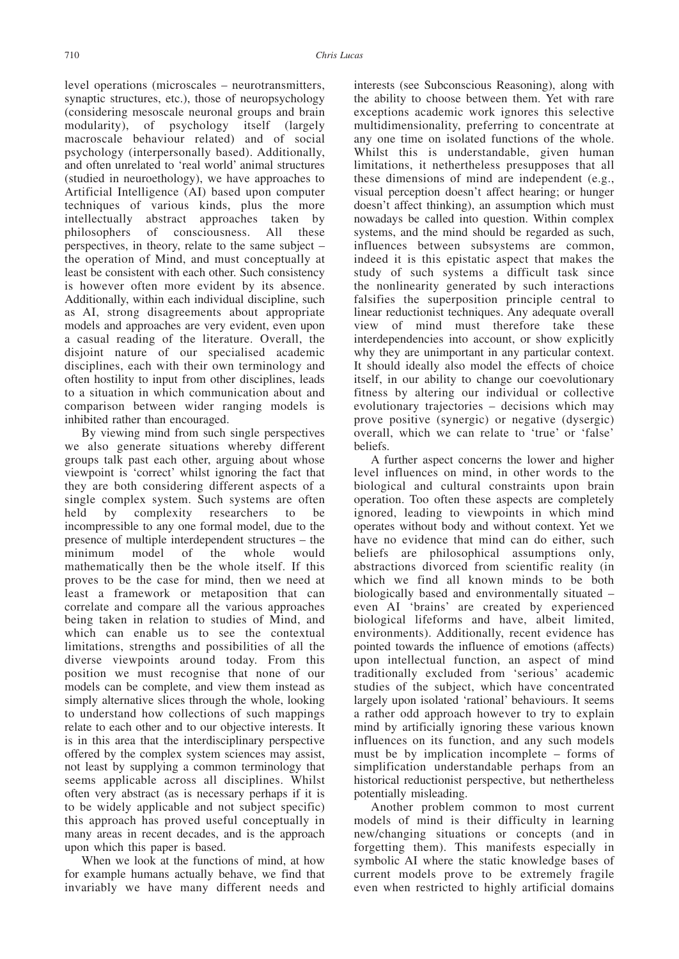level operations (microscales – neurotransmitters, synaptic structures, etc.), those of neuropsychology (considering mesoscale neuronal groups and brain modularity), of psychology itself (largely macroscale behaviour related) and of social psychology (interpersonally based). Additionally, and often unrelated to 'real world' animal structures (studied in neuroethology), we have approaches to Artificial Intelligence (AI) based upon computer techniques of various kinds, plus the more intellectually abstract approaches taken by philosophers of consciousness. All these perspectives, in theory, relate to the same subject – the operation of Mind, and must conceptually at least be consistent with each other. Such consistency is however often more evident by its absence. Additionally, within each individual discipline, such as AI, strong disagreements about appropriate models and approaches are very evident, even upon a casual reading of the literature. Overall, the disjoint nature of our specialised academic disciplines, each with their own terminology and often hostility to input from other disciplines, leads to a situation in which communication about and comparison between wider ranging models is inhibited rather than encouraged.

By viewing mind from such single perspectives we also generate situations whereby different groups talk past each other, arguing about whose viewpoint is 'correct' whilst ignoring the fact that they are both considering different aspects of a single complex system. Such systems are often held by complexity researchers to be incompressible to any one formal model, due to the presence of multiple interdependent structures – the minimum model of the whole would mathematically then be the whole itself. If this proves to be the case for mind, then we need at least a framework or metaposition that can correlate and compare all the various approaches being taken in relation to studies of Mind, and which can enable us to see the contextual limitations, strengths and possibilities of all the diverse viewpoints around today. From this position we must recognise that none of our models can be complete, and view them instead as simply alternative slices through the whole, looking to understand how collections of such mappings relate to each other and to our objective interests. It is in this area that the interdisciplinary perspective offered by the complex system sciences may assist, not least by supplying a common terminology that seems applicable across all disciplines. Whilst often very abstract (as is necessary perhaps if it is to be widely applicable and not subject specific) this approach has proved useful conceptually in many areas in recent decades, and is the approach upon which this paper is based.

When we look at the functions of mind, at how for example humans actually behave, we find that invariably we have many different needs and

interests (see Subconscious Reasoning), along with the ability to choose between them. Yet with rare exceptions academic work ignores this selective multidimensionality, preferring to concentrate at any one time on isolated functions of the whole. Whilst this is understandable, given human limitations, it nethertheless presupposes that all these dimensions of mind are independent (e.g., visual perception doesn't affect hearing; or hunger doesn't affect thinking), an assumption which must nowadays be called into question. Within complex systems, and the mind should be regarded as such, influences between subsystems are common, indeed it is this epistatic aspect that makes the study of such systems a difficult task since the nonlinearity generated by such interactions falsifies the superposition principle central to linear reductionist techniques. Any adequate overall view of mind must therefore take these interdependencies into account, or show explicitly why they are unimportant in any particular context. It should ideally also model the effects of choice itself, in our ability to change our coevolutionary fitness by altering our individual or collective evolutionary trajectories – decisions which may prove positive (synergic) or negative (dysergic) overall, which we can relate to 'true' or 'false' beliefs.

A further aspect concerns the lower and higher level influences on mind, in other words to the biological and cultural constraints upon brain operation. Too often these aspects are completely ignored, leading to viewpoints in which mind operates without body and without context. Yet we have no evidence that mind can do either, such beliefs are philosophical assumptions only, abstractions divorced from scientific reality (in which we find all known minds to be both biologically based and environmentally situated – even AI 'brains' are created by experienced biological lifeforms and have, albeit limited, environments). Additionally, recent evidence has pointed towards the influence of emotions (affects) upon intellectual function, an aspect of mind traditionally excluded from 'serious' academic studies of the subject, which have concentrated largely upon isolated 'rational' behaviours. It seems a rather odd approach however to try to explain mind by artificially ignoring these various known influences on its function, and any such models must be by implication incomplete – forms of simplification understandable perhaps from an historical reductionist perspective, but nethertheless potentially misleading.

Another problem common to most current models of mind is their difficulty in learning new/changing situations or concepts (and in forgetting them). This manifests especially in symbolic AI where the static knowledge bases of current models prove to be extremely fragile even when restricted to highly artificial domains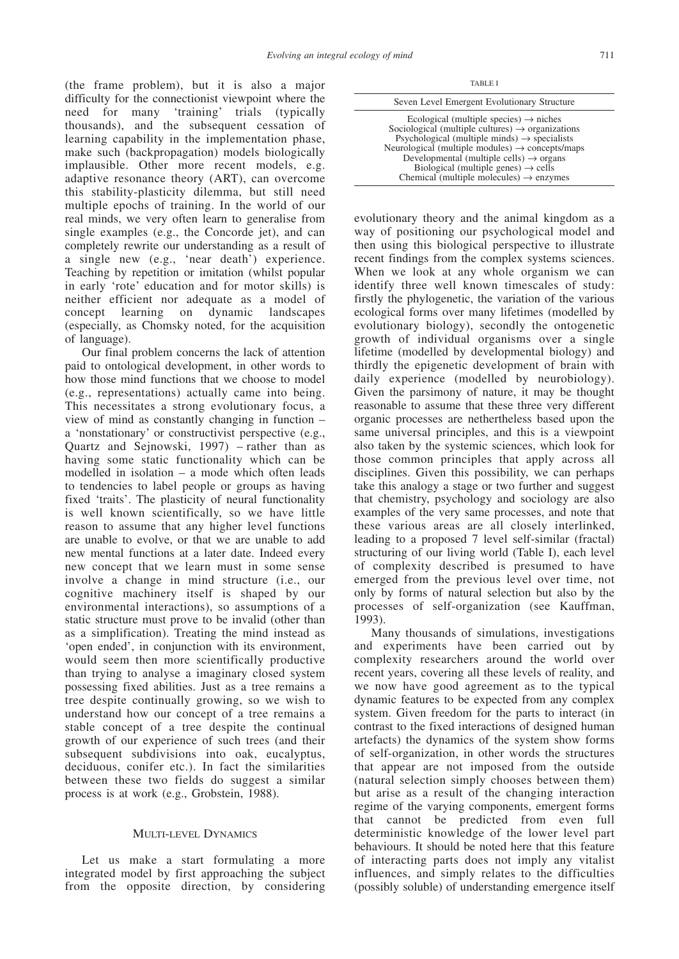(the frame problem), but it is also a major difficulty for the connectionist viewpoint where the need for many 'training' trials (typically thousands), and the subsequent cessation of learning capability in the implementation phase, make such (backpropagation) models biologically implausible. Other more recent models, e.g. adaptive resonance theory (ART), can overcome this stability-plasticity dilemma, but still need multiple epochs of training. In the world of our real minds, we very often learn to generalise from single examples (e.g., the Concorde jet), and can completely rewrite our understanding as a result of a single new (e.g., 'near death') experience. Teaching by repetition or imitation (whilst popular in early 'rote' education and for motor skills) is neither efficient nor adequate as a model of concept learning on dynamic landscapes (especially, as Chomsky noted, for the acquisition of language).

Our final problem concerns the lack of attention paid to ontological development, in other words to how those mind functions that we choose to model (e.g., representations) actually came into being. This necessitates a strong evolutionary focus, a view of mind as constantly changing in function – a 'nonstationary' or constructivist perspective (e.g., Quartz and Sejnowski, 1997) – rather than as having some static functionality which can be modelled in isolation – a mode which often leads to tendencies to label people or groups as having fixed 'traits'. The plasticity of neural functionality is well known scientifically, so we have little reason to assume that any higher level functions are unable to evolve, or that we are unable to add new mental functions at a later date. Indeed every new concept that we learn must in some sense involve a change in mind structure (i.e., our cognitive machinery itself is shaped by our environmental interactions), so assumptions of a static structure must prove to be invalid (other than as a simplification). Treating the mind instead as 'open ended', in conjunction with its environment, would seem then more scientifically productive than trying to analyse a imaginary closed system possessing fixed abilities. Just as a tree remains a tree despite continually growing, so we wish to understand how our concept of a tree remains a stable concept of a tree despite the continual growth of our experience of such trees (and their subsequent subdivisions into oak, eucalyptus, deciduous, conifer etc.). In fact the similarities between these two fields do suggest a similar process is at work (e.g., Grobstein, 1988).

#### MULTI-LEVEL DYNAMICS

Let us make a start formulating a more integrated model by first approaching the subject from the opposite direction, by considering

TABLE I

| Seven Level Emergent Evolutionary Structure                                                                                                                                                                                                                                                                                                                                                                    |  |
|----------------------------------------------------------------------------------------------------------------------------------------------------------------------------------------------------------------------------------------------------------------------------------------------------------------------------------------------------------------------------------------------------------------|--|
| Ecological (multiple species) $\rightarrow$ niches<br>Sociological (multiple cultures) $\rightarrow$ organizations<br>Psychological (multiple minds) $\rightarrow$ specialists<br>Neurological (multiple modules) $\rightarrow$ concepts/maps<br>Developmental (multiple cells) $\rightarrow$ organs<br>Biological (multiple genes) $\rightarrow$ cells<br>Chemical (multiple molecules) $\rightarrow$ enzymes |  |

evolutionary theory and the animal kingdom as a way of positioning our psychological model and then using this biological perspective to illustrate recent findings from the complex systems sciences. When we look at any whole organism we can identify three well known timescales of study: firstly the phylogenetic, the variation of the various ecological forms over many lifetimes (modelled by evolutionary biology), secondly the ontogenetic growth of individual organisms over a single lifetime (modelled by developmental biology) and thirdly the epigenetic development of brain with daily experience (modelled by neurobiology). Given the parsimony of nature, it may be thought reasonable to assume that these three very different organic processes are nethertheless based upon the same universal principles, and this is a viewpoint also taken by the systemic sciences, which look for those common principles that apply across all disciplines. Given this possibility, we can perhaps take this analogy a stage or two further and suggest that chemistry, psychology and sociology are also examples of the very same processes, and note that these various areas are all closely interlinked, leading to a proposed 7 level self-similar (fractal) structuring of our living world (Table I), each level of complexity described is presumed to have emerged from the previous level over time, not only by forms of natural selection but also by the processes of self-organization (see Kauffman, 1993).

Many thousands of simulations, investigations and experiments have been carried out by complexity researchers around the world over recent years, covering all these levels of reality, and we now have good agreement as to the typical dynamic features to be expected from any complex system. Given freedom for the parts to interact (in contrast to the fixed interactions of designed human artefacts) the dynamics of the system show forms of self-organization, in other words the structures that appear are not imposed from the outside (natural selection simply chooses between them) but arise as a result of the changing interaction regime of the varying components, emergent forms that cannot be predicted from even full deterministic knowledge of the lower level part behaviours. It should be noted here that this feature of interacting parts does not imply any vitalist influences, and simply relates to the difficulties (possibly soluble) of understanding emergence itself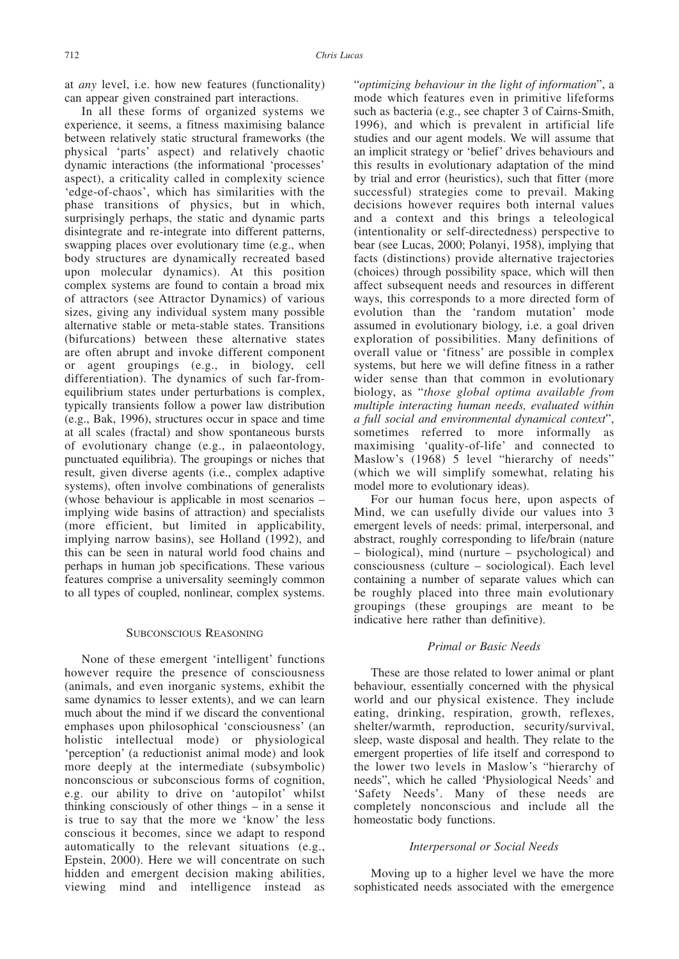at *any* level, i.e. how new features (functionality) can appear given constrained part interactions.

In all these forms of organized systems we experience, it seems, a fitness maximising balance between relatively static structural frameworks (the physical 'parts' aspect) and relatively chaotic dynamic interactions (the informational 'processes' aspect), a criticality called in complexity science 'edge-of-chaos', which has similarities with the phase transitions of physics, but in which, surprisingly perhaps, the static and dynamic parts disintegrate and re-integrate into different patterns, swapping places over evolutionary time (e.g., when body structures are dynamically recreated based upon molecular dynamics). At this position complex systems are found to contain a broad mix of attractors (see Attractor Dynamics) of various sizes, giving any individual system many possible alternative stable or meta-stable states. Transitions (bifurcations) between these alternative states are often abrupt and invoke different component or agent groupings (e.g., in biology, cell differentiation). The dynamics of such far-fromequilibrium states under perturbations is complex, typically transients follow a power law distribution (e.g., Bak, 1996), structures occur in space and time at all scales (fractal) and show spontaneous bursts of evolutionary change (e.g., in palaeontology, punctuated equilibria). The groupings or niches that result, given diverse agents (i.e., complex adaptive systems), often involve combinations of generalists (whose behaviour is applicable in most scenarios – implying wide basins of attraction) and specialists (more efficient, but limited in applicability, implying narrow basins), see Holland (1992), and this can be seen in natural world food chains and perhaps in human job specifications. These various features comprise a universality seemingly common to all types of coupled, nonlinear, complex systems.

## SUBCONSCIOUS REASONING

None of these emergent 'intelligent' functions however require the presence of consciousness (animals, and even inorganic systems, exhibit the same dynamics to lesser extents), and we can learn much about the mind if we discard the conventional emphases upon philosophical 'consciousness' (an holistic intellectual mode) or physiological 'perception' (a reductionist animal mode) and look more deeply at the intermediate (subsymbolic) nonconscious or subconscious forms of cognition, e.g. our ability to drive on 'autopilot' whilst thinking consciously of other things – in a sense it is true to say that the more we 'know' the less conscious it becomes, since we adapt to respond automatically to the relevant situations (e.g., Epstein, 2000). Here we will concentrate on such hidden and emergent decision making abilities, viewing mind and intelligence instead as

"*optimizing behaviour in the light of information*", a mode which features even in primitive lifeforms such as bacteria (e.g., see chapter 3 of Cairns-Smith, 1996), and which is prevalent in artificial life studies and our agent models. We will assume that an implicit strategy or 'belief' drives behaviours and this results in evolutionary adaptation of the mind by trial and error (heuristics), such that fitter (more successful) strategies come to prevail. Making decisions however requires both internal values and a context and this brings a teleological (intentionality or self-directedness) perspective to bear (see Lucas, 2000; Polanyi, 1958), implying that facts (distinctions) provide alternative trajectories (choices) through possibility space, which will then affect subsequent needs and resources in different ways, this corresponds to a more directed form of evolution than the 'random mutation' mode assumed in evolutionary biology, i.e. a goal driven exploration of possibilities. Many definitions of overall value or 'fitness' are possible in complex systems, but here we will define fitness in a rather wider sense than that common in evolutionary biology, as "*those global optima available from multiple interacting human needs, evaluated within a full social and environmental dynamical context*", sometimes referred to more informally as maximising 'quality-of-life' and connected to Maslow's (1968) 5 level "hierarchy of needs" (which we will simplify somewhat, relating his model more to evolutionary ideas).

For our human focus here, upon aspects of Mind, we can usefully divide our values into 3 emergent levels of needs: primal, interpersonal, and abstract, roughly corresponding to life/brain (nature – biological), mind (nurture – psychological) and consciousness (culture – sociological). Each level containing a number of separate values which can be roughly placed into three main evolutionary groupings (these groupings are meant to be indicative here rather than definitive).

## *Primal or Basic Needs*

These are those related to lower animal or plant behaviour, essentially concerned with the physical world and our physical existence. They include eating, drinking, respiration, growth, reflexes, shelter/warmth, reproduction, security/survival, sleep, waste disposal and health. They relate to the emergent properties of life itself and correspond to the lower two levels in Maslow's "hierarchy of needs", which he called 'Physiological Needs' and 'Safety Needs'. Many of these needs are completely nonconscious and include all the homeostatic body functions.

## *Interpersonal or Social Needs*

Moving up to a higher level we have the more sophisticated needs associated with the emergence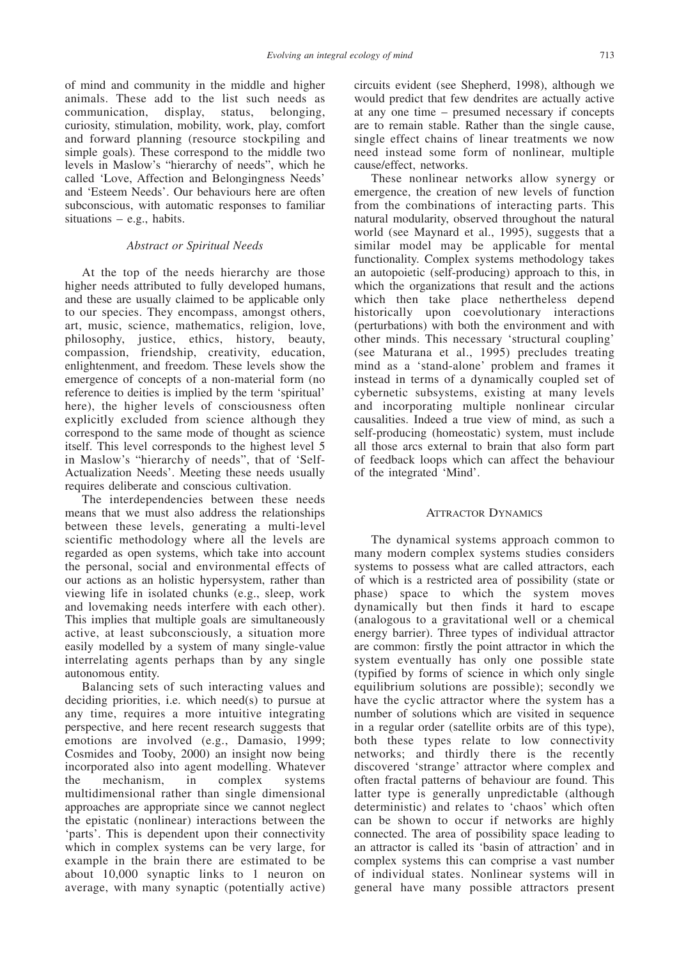of mind and community in the middle and higher animals. These add to the list such needs as communication, display, status, belonging, curiosity, stimulation, mobility, work, play, comfort and forward planning (resource stockpiling and simple goals). These correspond to the middle two levels in Maslow's "hierarchy of needs", which he called 'Love, Affection and Belongingness Needs' and 'Esteem Needs'. Our behaviours here are often subconscious, with automatic responses to familiar situations – e.g., habits.

## *Abstract or Spiritual Needs*

At the top of the needs hierarchy are those higher needs attributed to fully developed humans, and these are usually claimed to be applicable only to our species. They encompass, amongst others, art, music, science, mathematics, religion, love, philosophy, justice, ethics, history, beauty, compassion, friendship, creativity, education, enlightenment, and freedom. These levels show the emergence of concepts of a non-material form (no reference to deities is implied by the term 'spiritual' here), the higher levels of consciousness often explicitly excluded from science although they correspond to the same mode of thought as science itself. This level corresponds to the highest level 5 in Maslow's "hierarchy of needs", that of 'Self-Actualization Needs'. Meeting these needs usually requires deliberate and conscious cultivation.

The interdependencies between these needs means that we must also address the relationships between these levels, generating a multi-level scientific methodology where all the levels are regarded as open systems, which take into account the personal, social and environmental effects of our actions as an holistic hypersystem, rather than viewing life in isolated chunks (e.g., sleep, work and lovemaking needs interfere with each other). This implies that multiple goals are simultaneously active, at least subconsciously, a situation more easily modelled by a system of many single-value interrelating agents perhaps than by any single autonomous entity.

Balancing sets of such interacting values and deciding priorities, i.e. which need(s) to pursue at any time, requires a more intuitive integrating perspective, and here recent research suggests that emotions are involved (e.g., Damasio, 1999; Cosmides and Tooby, 2000) an insight now being incorporated also into agent modelling. Whatever the mechanism, in complex systems multidimensional rather than single dimensional approaches are appropriate since we cannot neglect the epistatic (nonlinear) interactions between the 'parts'. This is dependent upon their connectivity which in complex systems can be very large, for example in the brain there are estimated to be about 10,000 synaptic links to 1 neuron on average, with many synaptic (potentially active)

circuits evident (see Shepherd, 1998), although we would predict that few dendrites are actually active at any one time – presumed necessary if concepts are to remain stable. Rather than the single cause, single effect chains of linear treatments we now need instead some form of nonlinear, multiple cause/effect, networks.

These nonlinear networks allow synergy or emergence, the creation of new levels of function from the combinations of interacting parts. This natural modularity, observed throughout the natural world (see Maynard et al., 1995), suggests that a similar model may be applicable for mental functionality. Complex systems methodology takes an autopoietic (self-producing) approach to this, in which the organizations that result and the actions which then take place nethertheless depend historically upon coevolutionary interactions (perturbations) with both the environment and with other minds. This necessary 'structural coupling' (see Maturana et al., 1995) precludes treating mind as a 'stand-alone' problem and frames it instead in terms of a dynamically coupled set of cybernetic subsystems, existing at many levels and incorporating multiple nonlinear circular causalities. Indeed a true view of mind, as such a self-producing (homeostatic) system, must include all those arcs external to brain that also form part of feedback loops which can affect the behaviour of the integrated 'Mind'.

#### ATTRACTOR DYNAMICS

The dynamical systems approach common to many modern complex systems studies considers systems to possess what are called attractors, each of which is a restricted area of possibility (state or phase) space to which the system moves dynamically but then finds it hard to escape (analogous to a gravitational well or a chemical energy barrier). Three types of individual attractor are common: firstly the point attractor in which the system eventually has only one possible state (typified by forms of science in which only single equilibrium solutions are possible); secondly we have the cyclic attractor where the system has a number of solutions which are visited in sequence in a regular order (satellite orbits are of this type), both these types relate to low connectivity networks; and thirdly there is the recently discovered 'strange' attractor where complex and often fractal patterns of behaviour are found. This latter type is generally unpredictable (although deterministic) and relates to 'chaos' which often can be shown to occur if networks are highly connected. The area of possibility space leading to an attractor is called its 'basin of attraction' and in complex systems this can comprise a vast number of individual states. Nonlinear systems will in general have many possible attractors present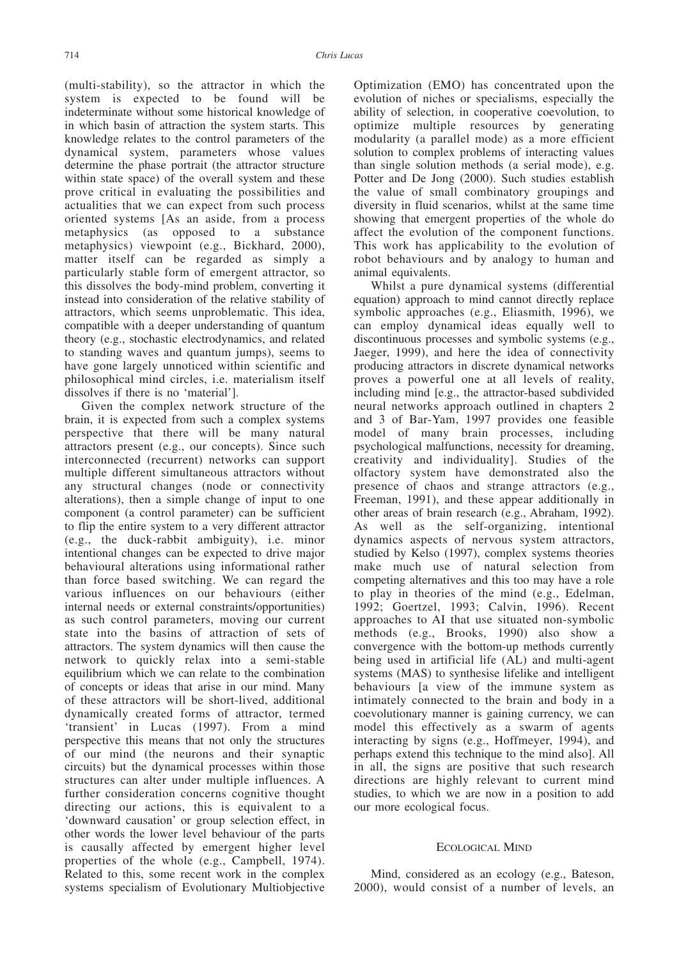(multi-stability), so the attractor in which the system is expected to be found will be indeterminate without some historical knowledge of in which basin of attraction the system starts. This knowledge relates to the control parameters of the dynamical system, parameters whose values determine the phase portrait (the attractor structure within state space) of the overall system and these prove critical in evaluating the possibilities and actualities that we can expect from such process oriented systems [As an aside, from a process metaphysics (as opposed to a substance metaphysics) viewpoint (e.g., Bickhard, 2000), matter itself can be regarded as simply a particularly stable form of emergent attractor, so this dissolves the body-mind problem, converting it instead into consideration of the relative stability of attractors, which seems unproblematic. This idea, compatible with a deeper understanding of quantum theory (e.g., stochastic electrodynamics, and related to standing waves and quantum jumps), seems to have gone largely unnoticed within scientific and philosophical mind circles, i.e. materialism itself dissolves if there is no 'material'].

Given the complex network structure of the brain, it is expected from such a complex systems perspective that there will be many natural attractors present (e.g., our concepts). Since such interconnected (recurrent) networks can support multiple different simultaneous attractors without any structural changes (node or connectivity alterations), then a simple change of input to one component (a control parameter) can be sufficient to flip the entire system to a very different attractor (e.g., the duck-rabbit ambiguity), i.e. minor intentional changes can be expected to drive major behavioural alterations using informational rather than force based switching. We can regard the various influences on our behaviours (either internal needs or external constraints/opportunities) as such control parameters, moving our current state into the basins of attraction of sets of attractors. The system dynamics will then cause the network to quickly relax into a semi-stable equilibrium which we can relate to the combination of concepts or ideas that arise in our mind. Many of these attractors will be short-lived, additional dynamically created forms of attractor, termed 'transient' in Lucas (1997). From a mind perspective this means that not only the structures of our mind (the neurons and their synaptic circuits) but the dynamical processes within those structures can alter under multiple influences. A further consideration concerns cognitive thought directing our actions, this is equivalent to a 'downward causation' or group selection effect, in other words the lower level behaviour of the parts is causally affected by emergent higher level properties of the whole (e.g., Campbell, 1974). Related to this, some recent work in the complex systems specialism of Evolutionary Multiobjective Optimization (EMO) has concentrated upon the evolution of niches or specialisms, especially the ability of selection, in cooperative coevolution, to optimize multiple resources by generating modularity (a parallel mode) as a more efficient solution to complex problems of interacting values than single solution methods (a serial mode), e.g. Potter and De Jong (2000). Such studies establish the value of small combinatory groupings and diversity in fluid scenarios, whilst at the same time showing that emergent properties of the whole do affect the evolution of the component functions. This work has applicability to the evolution of robot behaviours and by analogy to human and animal equivalents.

Whilst a pure dynamical systems (differential equation) approach to mind cannot directly replace symbolic approaches (e.g., Eliasmith, 1996), we can employ dynamical ideas equally well to discontinuous processes and symbolic systems (e.g., Jaeger, 1999), and here the idea of connectivity producing attractors in discrete dynamical networks proves a powerful one at all levels of reality, including mind [e.g., the attractor-based subdivided neural networks approach outlined in chapters 2 and 3 of Bar-Yam, 1997 provides one feasible model of many brain processes, including psychological malfunctions, necessity for dreaming, creativity and individuality]. Studies of the olfactory system have demonstrated also the presence of chaos and strange attractors (e.g., Freeman, 1991), and these appear additionally in other areas of brain research (e.g., Abraham, 1992). As well as the self-organizing, intentional dynamics aspects of nervous system attractors, studied by Kelso (1997), complex systems theories make much use of natural selection from competing alternatives and this too may have a role to play in theories of the mind (e.g., Edelman, 1992; Goertzel, 1993; Calvin, 1996). Recent approaches to AI that use situated non-symbolic methods (e.g., Brooks, 1990) also show a convergence with the bottom-up methods currently being used in artificial life (AL) and multi-agent systems (MAS) to synthesise lifelike and intelligent behaviours [a view of the immune system as intimately connected to the brain and body in a coevolutionary manner is gaining currency, we can model this effectively as a swarm of agents interacting by signs (e.g., Hoffmeyer, 1994), and perhaps extend this technique to the mind also]. All in all, the signs are positive that such research directions are highly relevant to current mind studies, to which we are now in a position to add our more ecological focus.

## ECOLOGICAL MIND

Mind, considered as an ecology (e.g., Bateson, 2000), would consist of a number of levels, an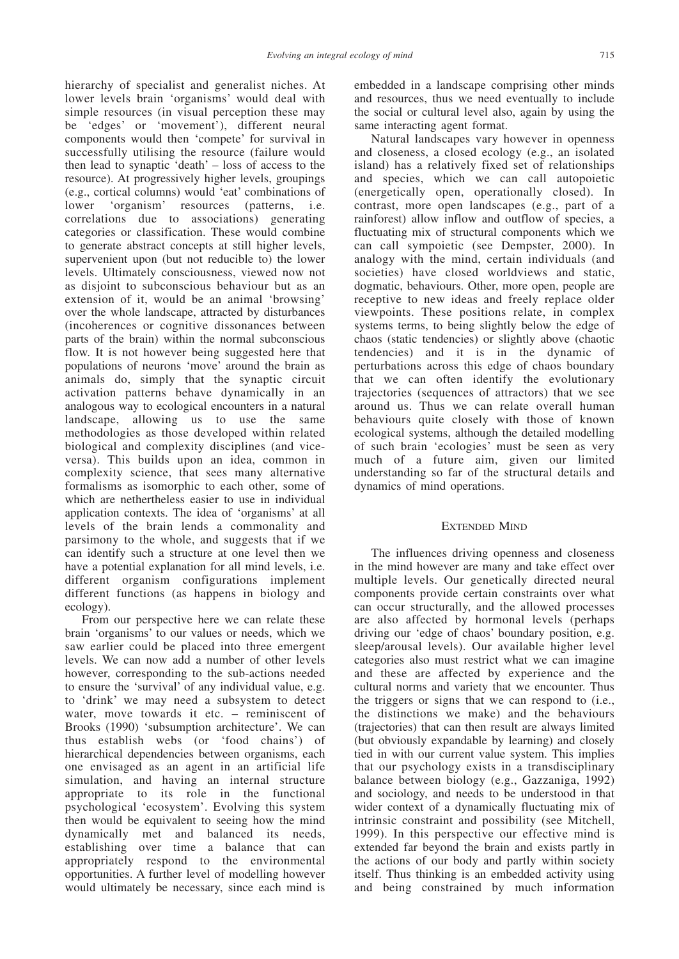hierarchy of specialist and generalist niches. At lower levels brain 'organisms' would deal with simple resources (in visual perception these may be 'edges' or 'movement'), different neural components would then 'compete' for survival in successfully utilising the resource (failure would then lead to synaptic 'death' – loss of access to the resource). At progressively higher levels, groupings (e.g., cortical columns) would 'eat' combinations of lower 'organism' resources (patterns, i.e. correlations due to associations) generating categories or classification. These would combine to generate abstract concepts at still higher levels, supervenient upon (but not reducible to) the lower levels. Ultimately consciousness, viewed now not as disjoint to subconscious behaviour but as an extension of it, would be an animal 'browsing' over the whole landscape, attracted by disturbances (incoherences or cognitive dissonances between parts of the brain) within the normal subconscious flow. It is not however being suggested here that populations of neurons 'move' around the brain as animals do, simply that the synaptic circuit activation patterns behave dynamically in an analogous way to ecological encounters in a natural landscape, allowing us to use the same methodologies as those developed within related biological and complexity disciplines (and viceversa). This builds upon an idea, common in complexity science, that sees many alternative formalisms as isomorphic to each other, some of which are nethertheless easier to use in individual application contexts. The idea of 'organisms' at all levels of the brain lends a commonality and parsimony to the whole, and suggests that if we can identify such a structure at one level then we have a potential explanation for all mind levels, i.e. different organism configurations implement different functions (as happens in biology and ecology).

From our perspective here we can relate these brain 'organisms' to our values or needs, which we saw earlier could be placed into three emergent levels. We can now add a number of other levels however, corresponding to the sub-actions needed to ensure the 'survival' of any individual value, e.g. to 'drink' we may need a subsystem to detect water, move towards it etc. – reminiscent of Brooks (1990) 'subsumption architecture'. We can thus establish webs (or 'food chains') of hierarchical dependencies between organisms, each one envisaged as an agent in an artificial life simulation, and having an internal structure appropriate to its role in the functional psychological 'ecosystem'. Evolving this system then would be equivalent to seeing how the mind dynamically met and balanced its needs, establishing over time a balance that can appropriately respond to the environmental opportunities. A further level of modelling however would ultimately be necessary, since each mind is

embedded in a landscape comprising other minds and resources, thus we need eventually to include the social or cultural level also, again by using the same interacting agent format.

Natural landscapes vary however in openness and closeness, a closed ecology (e.g., an isolated island) has a relatively fixed set of relationships and species, which we can call autopoietic (energetically open, operationally closed). In contrast, more open landscapes (e.g., part of a rainforest) allow inflow and outflow of species, a fluctuating mix of structural components which we can call sympoietic (see Dempster, 2000). In analogy with the mind, certain individuals (and societies) have closed worldviews and static, dogmatic, behaviours. Other, more open, people are receptive to new ideas and freely replace older viewpoints. These positions relate, in complex systems terms, to being slightly below the edge of chaos (static tendencies) or slightly above (chaotic tendencies) and it is in the dynamic of perturbations across this edge of chaos boundary that we can often identify the evolutionary trajectories (sequences of attractors) that we see around us. Thus we can relate overall human behaviours quite closely with those of known ecological systems, although the detailed modelling of such brain 'ecologies' must be seen as very much of a future aim, given our limited understanding so far of the structural details and dynamics of mind operations.

## EXTENDED MIND

The influences driving openness and closeness in the mind however are many and take effect over multiple levels. Our genetically directed neural components provide certain constraints over what can occur structurally, and the allowed processes are also affected by hormonal levels (perhaps driving our 'edge of chaos' boundary position, e.g. sleep/arousal levels). Our available higher level categories also must restrict what we can imagine and these are affected by experience and the cultural norms and variety that we encounter. Thus the triggers or signs that we can respond to (i.e., the distinctions we make) and the behaviours (trajectories) that can then result are always limited (but obviously expandable by learning) and closely tied in with our current value system. This implies that our psychology exists in a transdisciplinary balance between biology (e.g., Gazzaniga, 1992) and sociology, and needs to be understood in that wider context of a dynamically fluctuating mix of intrinsic constraint and possibility (see Mitchell, 1999). In this perspective our effective mind is extended far beyond the brain and exists partly in the actions of our body and partly within society itself. Thus thinking is an embedded activity using and being constrained by much information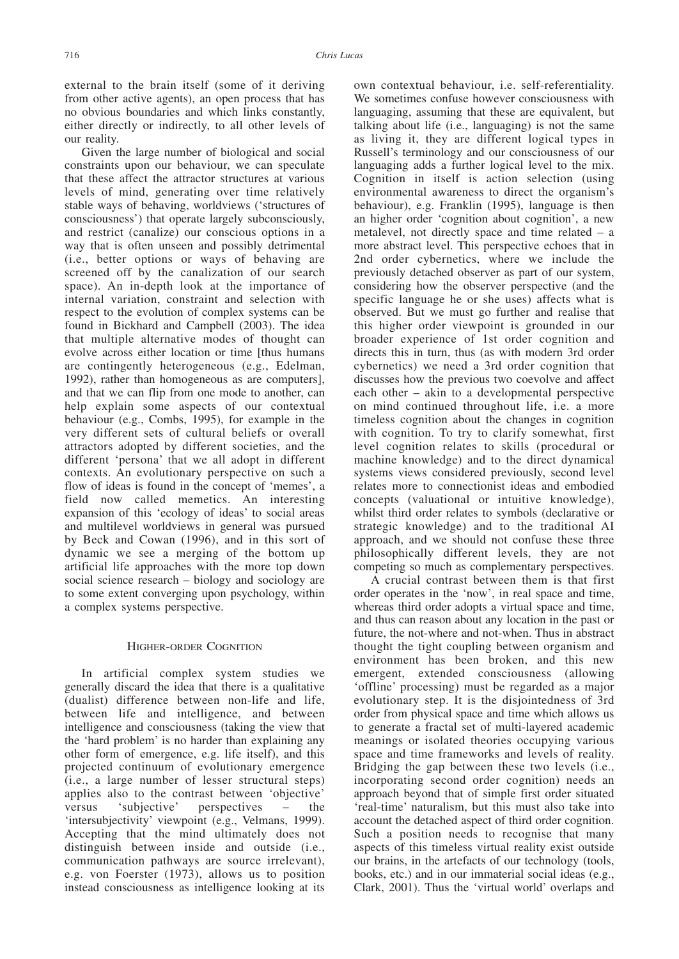external to the brain itself (some of it deriving from other active agents), an open process that has no obvious boundaries and which links constantly, either directly or indirectly, to all other levels of our reality.

Given the large number of biological and social constraints upon our behaviour, we can speculate that these affect the attractor structures at various levels of mind, generating over time relatively stable ways of behaving, worldviews ('structures of consciousness') that operate largely subconsciously, and restrict (canalize) our conscious options in a way that is often unseen and possibly detrimental (i.e., better options or ways of behaving are screened off by the canalization of our search space). An in-depth look at the importance of internal variation, constraint and selection with respect to the evolution of complex systems can be found in Bickhard and Campbell (2003). The idea that multiple alternative modes of thought can evolve across either location or time [thus humans are contingently heterogeneous (e.g., Edelman, 1992), rather than homogeneous as are computers], and that we can flip from one mode to another, can help explain some aspects of our contextual behaviour (e.g., Combs, 1995), for example in the very different sets of cultural beliefs or overall attractors adopted by different societies, and the different 'persona' that we all adopt in different contexts. An evolutionary perspective on such a flow of ideas is found in the concept of 'memes', a field now called memetics. An interesting expansion of this 'ecology of ideas' to social areas and multilevel worldviews in general was pursued by Beck and Cowan (1996), and in this sort of dynamic we see a merging of the bottom up artificial life approaches with the more top down social science research – biology and sociology are to some extent converging upon psychology, within a complex systems perspective.

## HIGHER-ORDER COGNITION

In artificial complex system studies we generally discard the idea that there is a qualitative (dualist) difference between non-life and life, between life and intelligence, and between intelligence and consciousness (taking the view that the 'hard problem' is no harder than explaining any other form of emergence, e.g. life itself), and this projected continuum of evolutionary emergence (i.e., a large number of lesser structural steps) applies also to the contrast between 'objective' versus 'subjective' perspectives – the 'intersubjectivity' viewpoint (e.g., Velmans, 1999). Accepting that the mind ultimately does not distinguish between inside and outside (i.e., communication pathways are source irrelevant), e.g. von Foerster (1973), allows us to position instead consciousness as intelligence looking at its

own contextual behaviour, i.e. self-referentiality. We sometimes confuse however consciousness with languaging, assuming that these are equivalent, but talking about life (i.e., languaging) is not the same as living it, they are different logical types in Russell's terminology and our consciousness of our languaging adds a further logical level to the mix. Cognition in itself is action selection (using environmental awareness to direct the organism's behaviour), e.g. Franklin (1995), language is then an higher order 'cognition about cognition', a new metalevel, not directly space and time related – a more abstract level. This perspective echoes that in 2nd order cybernetics, where we include the previously detached observer as part of our system, considering how the observer perspective (and the specific language he or she uses) affects what is observed. But we must go further and realise that this higher order viewpoint is grounded in our broader experience of 1st order cognition and directs this in turn, thus (as with modern 3rd order cybernetics) we need a 3rd order cognition that discusses how the previous two coevolve and affect each other – akin to a developmental perspective on mind continued throughout life, i.e. a more timeless cognition about the changes in cognition with cognition. To try to clarify somewhat, first level cognition relates to skills (procedural or machine knowledge) and to the direct dynamical systems views considered previously, second level relates more to connectionist ideas and embodied concepts (valuational or intuitive knowledge), whilst third order relates to symbols (declarative or strategic knowledge) and to the traditional AI approach, and we should not confuse these three philosophically different levels, they are not competing so much as complementary perspectives.

A crucial contrast between them is that first order operates in the 'now', in real space and time, whereas third order adopts a virtual space and time, and thus can reason about any location in the past or future, the not-where and not-when. Thus in abstract thought the tight coupling between organism and environment has been broken, and this new emergent, extended consciousness (allowing 'offline' processing) must be regarded as a major evolutionary step. It is the disjointedness of 3rd order from physical space and time which allows us to generate a fractal set of multi-layered academic meanings or isolated theories occupying various space and time frameworks and levels of reality. Bridging the gap between these two levels (i.e., incorporating second order cognition) needs an approach beyond that of simple first order situated 'real-time' naturalism, but this must also take into account the detached aspect of third order cognition. Such a position needs to recognise that many aspects of this timeless virtual reality exist outside our brains, in the artefacts of our technology (tools, books, etc.) and in our immaterial social ideas (e.g., Clark, 2001). Thus the 'virtual world' overlaps and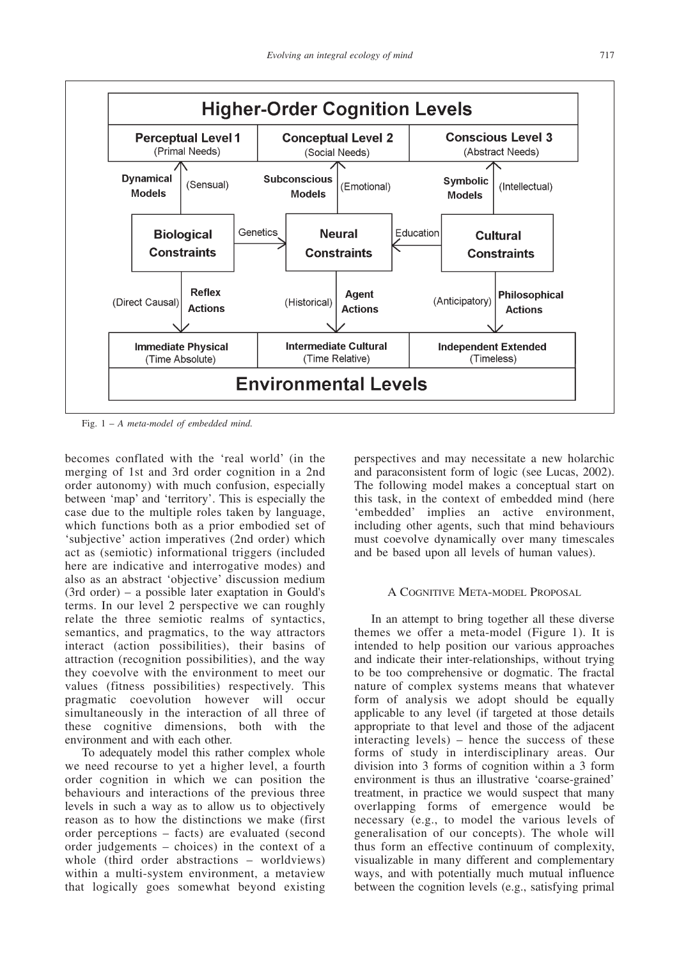

Fig. 1 – *A meta-model of embedded mind.*

becomes conflated with the 'real world' (in the merging of 1st and 3rd order cognition in a 2nd order autonomy) with much confusion, especially between 'map' and 'territory'. This is especially the case due to the multiple roles taken by language, which functions both as a prior embodied set of 'subjective' action imperatives (2nd order) which act as (semiotic) informational triggers (included here are indicative and interrogative modes) and also as an abstract 'objective' discussion medium (3rd order) – a possible later exaptation in Gould's terms. In our level 2 perspective we can roughly relate the three semiotic realms of syntactics, semantics, and pragmatics, to the way attractors interact (action possibilities), their basins of attraction (recognition possibilities), and the way they coevolve with the environment to meet our values (fitness possibilities) respectively. This pragmatic coevolution however will occur simultaneously in the interaction of all three of these cognitive dimensions, both with the environment and with each other.

To adequately model this rather complex whole we need recourse to yet a higher level, a fourth order cognition in which we can position the behaviours and interactions of the previous three levels in such a way as to allow us to objectively reason as to how the distinctions we make (first order perceptions – facts) are evaluated (second order judgements – choices) in the context of a whole (third order abstractions – worldviews) within a multi-system environment, a metaview that logically goes somewhat beyond existing

perspectives and may necessitate a new holarchic and paraconsistent form of logic (see Lucas, 2002). The following model makes a conceptual start on this task, in the context of embedded mind (here 'embedded' implies an active environment, including other agents, such that mind behaviours must coevolve dynamically over many timescales and be based upon all levels of human values).

## A COGNITIVE META-MODEL PROPOSAL

In an attempt to bring together all these diverse themes we offer a meta-model (Figure 1). It is intended to help position our various approaches and indicate their inter-relationships, without trying to be too comprehensive or dogmatic. The fractal nature of complex systems means that whatever form of analysis we adopt should be equally applicable to any level (if targeted at those details appropriate to that level and those of the adjacent interacting levels) – hence the success of these forms of study in interdisciplinary areas. Our division into 3 forms of cognition within a 3 form environment is thus an illustrative 'coarse-grained' treatment, in practice we would suspect that many overlapping forms of emergence would be necessary (e.g., to model the various levels of generalisation of our concepts). The whole will thus form an effective continuum of complexity, visualizable in many different and complementary ways, and with potentially much mutual influence between the cognition levels (e.g., satisfying primal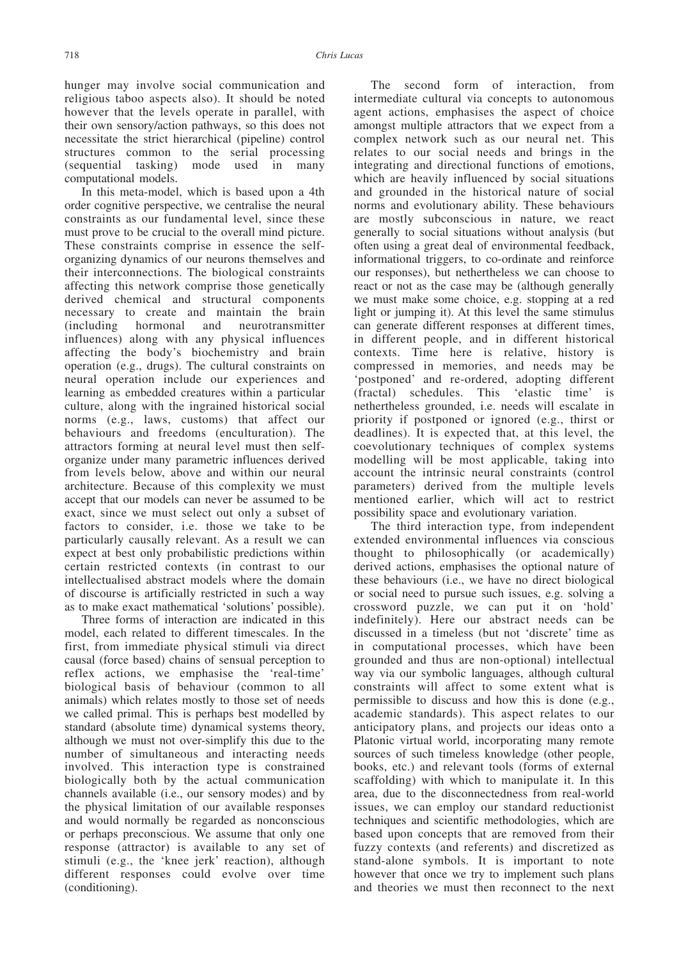hunger may involve social communication and religious taboo aspects also). It should be noted however that the levels operate in parallel, with their own sensory/action pathways, so this does not necessitate the strict hierarchical (pipeline) control structures common to the serial processing (sequential tasking) mode used in many computational models.

In this meta-model, which is based upon a 4th order cognitive perspective, we centralise the neural constraints as our fundamental level, since these must prove to be crucial to the overall mind picture. These constraints comprise in essence the selforganizing dynamics of our neurons themselves and their interconnections. The biological constraints affecting this network comprise those genetically derived chemical and structural components necessary to create and maintain the brain (including hormonal and neurotransmitter influences) along with any physical influences affecting the body's biochemistry and brain operation (e.g., drugs). The cultural constraints on neural operation include our experiences and learning as embedded creatures within a particular culture, along with the ingrained historical social norms (e.g., laws, customs) that affect our behaviours and freedoms (enculturation). The attractors forming at neural level must then selforganize under many parametric influences derived from levels below, above and within our neural architecture. Because of this complexity we must accept that our models can never be assumed to be exact, since we must select out only a subset of factors to consider, i.e. those we take to be particularly causally relevant. As a result we can expect at best only probabilistic predictions within certain restricted contexts (in contrast to our intellectualised abstract models where the domain of discourse is artificially restricted in such a way as to make exact mathematical 'solutions' possible).

Three forms of interaction are indicated in this model, each related to different timescales. In the first, from immediate physical stimuli via direct causal (force based) chains of sensual perception to reflex actions, we emphasise the 'real-time' biological basis of behaviour (common to all animals) which relates mostly to those set of needs we called primal. This is perhaps best modelled by standard (absolute time) dynamical systems theory, although we must not over-simplify this due to the number of simultaneous and interacting needs involved. This interaction type is constrained biologically both by the actual communication channels available (i.e., our sensory modes) and by the physical limitation of our available responses and would normally be regarded as nonconscious or perhaps preconscious. We assume that only one response (attractor) is available to any set of stimuli (e.g., the 'knee jerk' reaction), although different responses could evolve over time (conditioning).

The second form of interaction, from intermediate cultural via concepts to autonomous agent actions, emphasises the aspect of choice amongst multiple attractors that we expect from a complex network such as our neural net. This relates to our social needs and brings in the integrating and directional functions of emotions, which are heavily influenced by social situations and grounded in the historical nature of social norms and evolutionary ability. These behaviours are mostly subconscious in nature, we react generally to social situations without analysis (but often using a great deal of environmental feedback, informational triggers, to co-ordinate and reinforce our responses), but nethertheless we can choose to react or not as the case may be (although generally we must make some choice, e.g. stopping at a red light or jumping it). At this level the same stimulus can generate different responses at different times, in different people, and in different historical contexts. Time here is relative, history is compressed in memories, and needs may be 'postponed' and re-ordered, adopting different (fractal) schedules. This 'elastic time' is nethertheless grounded, i.e. needs will escalate in priority if postponed or ignored (e.g., thirst or deadlines). It is expected that, at this level, the coevolutionary techniques of complex systems modelling will be most applicable, taking into account the intrinsic neural constraints (control parameters) derived from the multiple levels mentioned earlier, which will act to restrict possibility space and evolutionary variation.

The third interaction type, from independent extended environmental influences via conscious thought to philosophically (or academically) derived actions, emphasises the optional nature of these behaviours (i.e., we have no direct biological or social need to pursue such issues, e.g. solving a crossword puzzle, we can put it on 'hold' indefinitely). Here our abstract needs can be discussed in a timeless (but not 'discrete' time as in computational processes, which have been grounded and thus are non-optional) intellectual way via our symbolic languages, although cultural constraints will affect to some extent what is permissible to discuss and how this is done (e.g., academic standards). This aspect relates to our anticipatory plans, and projects our ideas onto a Platonic virtual world, incorporating many remote sources of such timeless knowledge (other people, books, etc.) and relevant tools (forms of external scaffolding) with which to manipulate it. In this area, due to the disconnectedness from real-world issues, we can employ our standard reductionist techniques and scientific methodologies, which are based upon concepts that are removed from their fuzzy contexts (and referents) and discretized as stand-alone symbols. It is important to note however that once we try to implement such plans and theories we must then reconnect to the next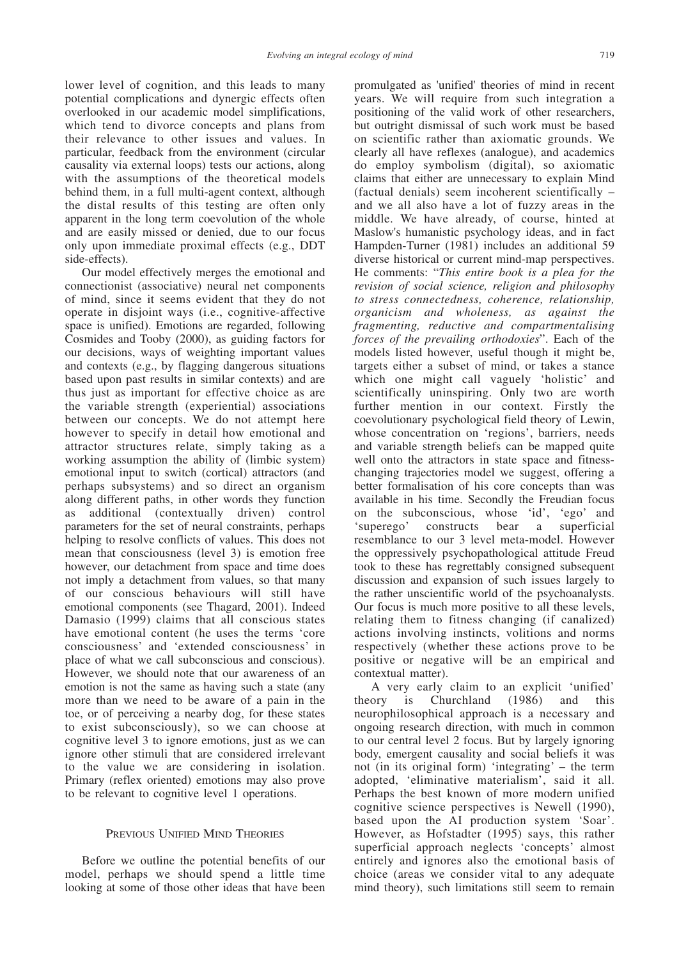lower level of cognition, and this leads to many potential complications and dynergic effects often overlooked in our academic model simplifications, which tend to divorce concepts and plans from their relevance to other issues and values. In particular, feedback from the environment (circular causality via external loops) tests our actions, along with the assumptions of the theoretical models behind them, in a full multi-agent context, although the distal results of this testing are often only apparent in the long term coevolution of the whole and are easily missed or denied, due to our focus only upon immediate proximal effects (e.g., DDT side-effects).

Our model effectively merges the emotional and connectionist (associative) neural net components of mind, since it seems evident that they do not operate in disjoint ways (i.e., cognitive-affective space is unified). Emotions are regarded, following Cosmides and Tooby (2000), as guiding factors for our decisions, ways of weighting important values and contexts (e.g., by flagging dangerous situations based upon past results in similar contexts) and are thus just as important for effective choice as are the variable strength (experiential) associations between our concepts. We do not attempt here however to specify in detail how emotional and attractor structures relate, simply taking as a working assumption the ability of (limbic system) emotional input to switch (cortical) attractors (and perhaps subsystems) and so direct an organism along different paths, in other words they function as additional (contextually driven) control parameters for the set of neural constraints, perhaps helping to resolve conflicts of values. This does not mean that consciousness (level 3) is emotion free however, our detachment from space and time does not imply a detachment from values, so that many of our conscious behaviours will still have emotional components (see Thagard, 2001). Indeed Damasio (1999) claims that all conscious states have emotional content (he uses the terms 'core consciousness' and 'extended consciousness' in place of what we call subconscious and conscious). However, we should note that our awareness of an emotion is not the same as having such a state (any more than we need to be aware of a pain in the toe, or of perceiving a nearby dog, for these states to exist subconsciously), so we can choose at cognitive level 3 to ignore emotions, just as we can ignore other stimuli that are considered irrelevant to the value we are considering in isolation. Primary (reflex oriented) emotions may also prove to be relevant to cognitive level 1 operations.

## PREVIOUS UNIFIED MIND THEORIES

Before we outline the potential benefits of our model, perhaps we should spend a little time looking at some of those other ideas that have been

promulgated as 'unified' theories of mind in recent years. We will require from such integration a positioning of the valid work of other researchers, but outright dismissal of such work must be based on scientific rather than axiomatic grounds. We clearly all have reflexes (analogue), and academics do employ symbolism (digital), so axiomatic claims that either are unnecessary to explain Mind (factual denials) seem incoherent scientifically – and we all also have a lot of fuzzy areas in the middle. We have already, of course, hinted at Maslow's humanistic psychology ideas, and in fact Hampden-Turner (1981) includes an additional 59 diverse historical or current mind-map perspectives. He comments: "*This entire book is a plea for the revision of social science, religion and philosophy to stress connectedness, coherence, relationship, organicism and wholeness, as against the fragmenting, reductive and compartmentalising forces of the prevailing orthodoxies*". Each of the models listed however, useful though it might be, targets either a subset of mind, or takes a stance which one might call vaguely 'holistic' and scientifically uninspiring. Only two are worth further mention in our context. Firstly the coevolutionary psychological field theory of Lewin, whose concentration on 'regions', barriers, needs and variable strength beliefs can be mapped quite well onto the attractors in state space and fitnesschanging trajectories model we suggest, offering a better formalisation of his core concepts than was available in his time. Secondly the Freudian focus on the subconscious, whose 'id', 'ego' and 'superego' constructs bear a superficial resemblance to our 3 level meta-model. However the oppressively psychopathological attitude Freud took to these has regrettably consigned subsequent discussion and expansion of such issues largely to the rather unscientific world of the psychoanalysts. Our focus is much more positive to all these levels, relating them to fitness changing (if canalized) actions involving instincts, volitions and norms respectively (whether these actions prove to be positive or negative will be an empirical and contextual matter).

A very early claim to an explicit 'unified' theory is Churchland (1986) and this neurophilosophical approach is a necessary and ongoing research direction, with much in common to our central level 2 focus. But by largely ignoring body, emergent causality and social beliefs it was not (in its original form) 'integrating' – the term adopted, 'eliminative materialism', said it all. Perhaps the best known of more modern unified cognitive science perspectives is Newell (1990), based upon the AI production system 'Soar'. However, as Hofstadter (1995) says, this rather superficial approach neglects 'concepts' almost entirely and ignores also the emotional basis of choice (areas we consider vital to any adequate mind theory), such limitations still seem to remain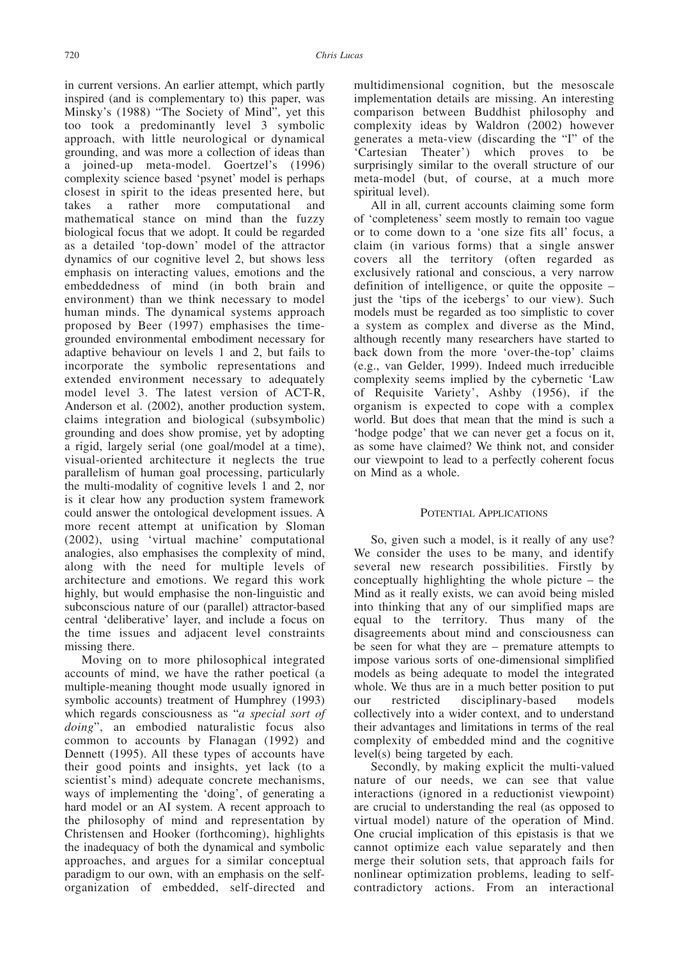in current versions. An earlier attempt, which partly inspired (and is complementary to) this paper, was Minsky's (1988) "The Society of Mind", yet this too took a predominantly level 3 symbolic approach, with little neurological or dynamical grounding, and was more a collection of ideas than a joined-up meta-model. Goertzel's (1996) complexity science based 'psynet' model is perhaps closest in spirit to the ideas presented here, but takes a rather more computational and mathematical stance on mind than the fuzzy biological focus that we adopt. It could be regarded as a detailed 'top-down' model of the attractor dynamics of our cognitive level 2, but shows less emphasis on interacting values, emotions and the embeddedness of mind (in both brain and environment) than we think necessary to model human minds. The dynamical systems approach proposed by Beer (1997) emphasises the timegrounded environmental embodiment necessary for adaptive behaviour on levels 1 and 2, but fails to incorporate the symbolic representations and extended environment necessary to adequately model level 3. The latest version of ACT-R, Anderson et al. (2002), another production system, claims integration and biological (subsymbolic) grounding and does show promise, yet by adopting a rigid, largely serial (one goal/model at a time), visual-oriented architecture it neglects the true parallelism of human goal processing, particularly the multi-modality of cognitive levels 1 and 2, nor is it clear how any production system framework could answer the ontological development issues. A more recent attempt at unification by Sloman (2002), using 'virtual machine' computational analogies, also emphasises the complexity of mind, along with the need for multiple levels of architecture and emotions. We regard this work highly, but would emphasise the non-linguistic and subconscious nature of our (parallel) attractor-based central 'deliberative' layer, and include a focus on the time issues and adjacent level constraints missing there.

Moving on to more philosophical integrated accounts of mind, we have the rather poetical (a multiple-meaning thought mode usually ignored in symbolic accounts) treatment of Humphrey (1993) which regards consciousness as "*a special sort of doing*", an embodied naturalistic focus also common to accounts by Flanagan (1992) and Dennett (1995). All these types of accounts have their good points and insights, yet lack (to a scientist's mind) adequate concrete mechanisms, ways of implementing the 'doing', of generating a hard model or an AI system. A recent approach to the philosophy of mind and representation by Christensen and Hooker (forthcoming), highlights the inadequacy of both the dynamical and symbolic approaches, and argues for a similar conceptual paradigm to our own, with an emphasis on the selforganization of embedded, self-directed and multidimensional cognition, but the mesoscale implementation details are missing. An interesting comparison between Buddhist philosophy and complexity ideas by Waldron (2002) however generates a meta-view (discarding the "I" of the 'Cartesian Theater') which proves to be surprisingly similar to the overall structure of our meta-model (but, of course, at a much more spiritual level).

All in all, current accounts claiming some form of 'completeness' seem mostly to remain too vague or to come down to a 'one size fits all' focus, a claim (in various forms) that a single answer covers all the territory (often regarded as exclusively rational and conscious, a very narrow definition of intelligence, or quite the opposite – just the 'tips of the icebergs' to our view). Such models must be regarded as too simplistic to cover a system as complex and diverse as the Mind, although recently many researchers have started to back down from the more 'over-the-top' claims (e.g., van Gelder, 1999). Indeed much irreducible complexity seems implied by the cybernetic 'Law of Requisite Variety', Ashby (1956), if the organism is expected to cope with a complex world. But does that mean that the mind is such a 'hodge podge' that we can never get a focus on it, as some have claimed? We think not, and consider our viewpoint to lead to a perfectly coherent focus on Mind as a whole.

#### POTENTIAL APPLICATIONS

So, given such a model, is it really of any use? We consider the uses to be many, and identify several new research possibilities. Firstly by conceptually highlighting the whole picture – the Mind as it really exists, we can avoid being misled into thinking that any of our simplified maps are equal to the territory. Thus many of the disagreements about mind and consciousness can be seen for what they are – premature attempts to impose various sorts of one-dimensional simplified models as being adequate to model the integrated whole. We thus are in a much better position to put our restricted disciplinary-based models collectively into a wider context, and to understand their advantages and limitations in terms of the real complexity of embedded mind and the cognitive level(s) being targeted by each.

Secondly, by making explicit the multi-valued nature of our needs, we can see that value interactions (ignored in a reductionist viewpoint) are crucial to understanding the real (as opposed to virtual model) nature of the operation of Mind. One crucial implication of this epistasis is that we cannot optimize each value separately and then merge their solution sets, that approach fails for nonlinear optimization problems, leading to selfcontradictory actions. From an interactional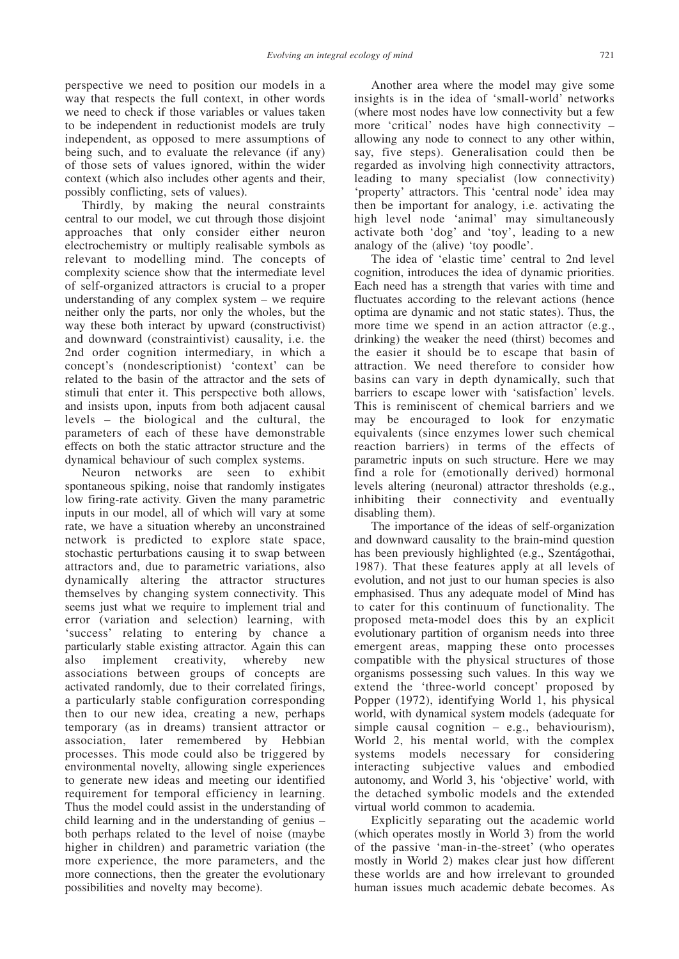perspective we need to position our models in a way that respects the full context, in other words we need to check if those variables or values taken to be independent in reductionist models are truly independent, as opposed to mere assumptions of being such, and to evaluate the relevance (if any) of those sets of values ignored, within the wider context (which also includes other agents and their, possibly conflicting, sets of values).

Thirdly, by making the neural constraints central to our model, we cut through those disjoint approaches that only consider either neuron electrochemistry or multiply realisable symbols as relevant to modelling mind. The concepts of complexity science show that the intermediate level of self-organized attractors is crucial to a proper understanding of any complex system – we require neither only the parts, nor only the wholes, but the way these both interact by upward (constructivist) and downward (constraintivist) causality, i.e. the 2nd order cognition intermediary, in which a concept's (nondescriptionist) 'context' can be related to the basin of the attractor and the sets of stimuli that enter it. This perspective both allows, and insists upon, inputs from both adjacent causal levels – the biological and the cultural, the parameters of each of these have demonstrable effects on both the static attractor structure and the dynamical behaviour of such complex systems.

Neuron networks are seen to exhibit spontaneous spiking, noise that randomly instigates low firing-rate activity. Given the many parametric inputs in our model, all of which will vary at some rate, we have a situation whereby an unconstrained network is predicted to explore state space, stochastic perturbations causing it to swap between attractors and, due to parametric variations, also dynamically altering the attractor structures themselves by changing system connectivity. This seems just what we require to implement trial and error (variation and selection) learning, with 'success' relating to entering by chance a particularly stable existing attractor. Again this can also implement creativity, whereby new associations between groups of concepts are activated randomly, due to their correlated firings, a particularly stable configuration corresponding then to our new idea, creating a new, perhaps temporary (as in dreams) transient attractor or association, later remembered by Hebbian processes. This mode could also be triggered by environmental novelty, allowing single experiences to generate new ideas and meeting our identified requirement for temporal efficiency in learning. Thus the model could assist in the understanding of child learning and in the understanding of genius – both perhaps related to the level of noise (maybe higher in children) and parametric variation (the more experience, the more parameters, and the more connections, then the greater the evolutionary possibilities and novelty may become).

Another area where the model may give some insights is in the idea of 'small-world' networks (where most nodes have low connectivity but a few more 'critical' nodes have high connectivity – allowing any node to connect to any other within, say, five steps). Generalisation could then be regarded as involving high connectivity attractors, leading to many specialist (low connectivity) 'property' attractors. This 'central node' idea may then be important for analogy, i.e. activating the high level node 'animal' may simultaneously activate both 'dog' and 'toy', leading to a new analogy of the (alive) 'toy poodle'.

The idea of 'elastic time' central to 2nd level cognition, introduces the idea of dynamic priorities. Each need has a strength that varies with time and fluctuates according to the relevant actions (hence optima are dynamic and not static states). Thus, the more time we spend in an action attractor (e.g., drinking) the weaker the need (thirst) becomes and the easier it should be to escape that basin of attraction. We need therefore to consider how basins can vary in depth dynamically, such that barriers to escape lower with 'satisfaction' levels. This is reminiscent of chemical barriers and we may be encouraged to look for enzymatic equivalents (since enzymes lower such chemical reaction barriers) in terms of the effects of parametric inputs on such structure. Here we may find a role for (emotionally derived) hormonal levels altering (neuronal) attractor thresholds (e.g., inhibiting their connectivity and eventually disabling them).

The importance of the ideas of self-organization and downward causality to the brain-mind question has been previously highlighted (e.g., Szentágothai, 1987). That these features apply at all levels of evolution, and not just to our human species is also emphasised. Thus any adequate model of Mind has to cater for this continuum of functionality. The proposed meta-model does this by an explicit evolutionary partition of organism needs into three emergent areas, mapping these onto processes compatible with the physical structures of those organisms possessing such values. In this way we extend the 'three-world concept' proposed by Popper (1972), identifying World 1, his physical world, with dynamical system models (adequate for simple causal cognition – e.g., behaviourism), World 2, his mental world, with the complex systems models necessary for considering interacting subjective values and embodied autonomy, and World 3, his 'objective' world, with the detached symbolic models and the extended virtual world common to academia.

Explicitly separating out the academic world (which operates mostly in World 3) from the world of the passive 'man-in-the-street' (who operates mostly in World 2) makes clear just how different these worlds are and how irrelevant to grounded human issues much academic debate becomes. As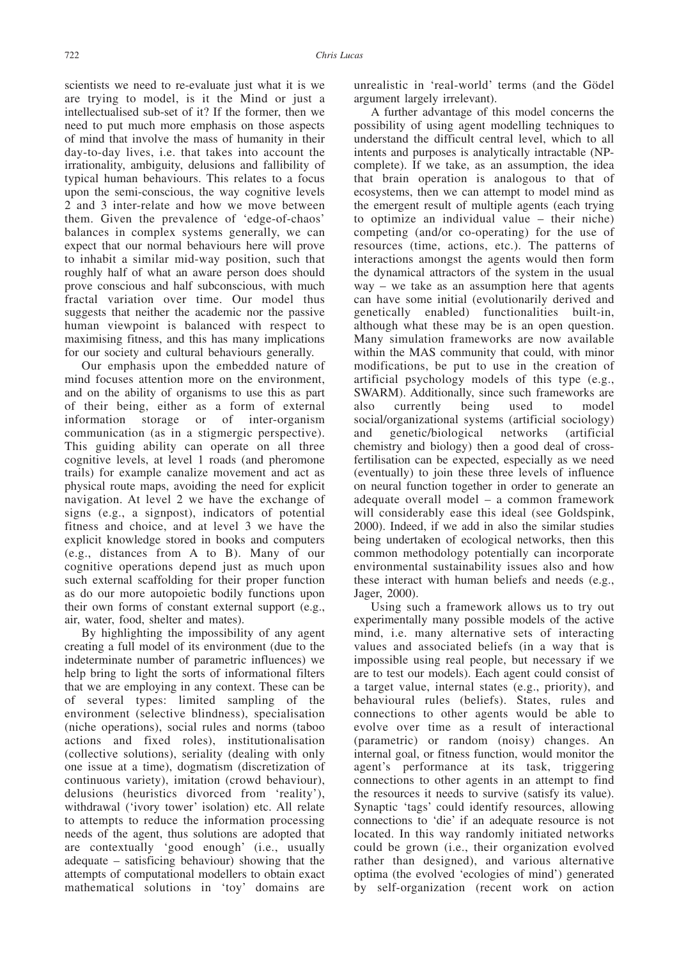scientists we need to re-evaluate just what it is we are trying to model, is it the Mind or just a intellectualised sub-set of it? If the former, then we need to put much more emphasis on those aspects of mind that involve the mass of humanity in their day-to-day lives, i.e. that takes into account the irrationality, ambiguity, delusions and fallibility of typical human behaviours. This relates to a focus upon the semi-conscious, the way cognitive levels 2 and 3 inter-relate and how we move between them. Given the prevalence of 'edge-of-chaos' balances in complex systems generally, we can expect that our normal behaviours here will prove to inhabit a similar mid-way position, such that roughly half of what an aware person does should prove conscious and half subconscious, with much fractal variation over time. Our model thus suggests that neither the academic nor the passive human viewpoint is balanced with respect to maximising fitness, and this has many implications for our society and cultural behaviours generally.

Our emphasis upon the embedded nature of mind focuses attention more on the environment, and on the ability of organisms to use this as part of their being, either as a form of external information storage or of inter-organism communication (as in a stigmergic perspective). This guiding ability can operate on all three cognitive levels, at level 1 roads (and pheromone trails) for example canalize movement and act as physical route maps, avoiding the need for explicit navigation. At level 2 we have the exchange of signs (e.g., a signpost), indicators of potential fitness and choice, and at level 3 we have the explicit knowledge stored in books and computers (e.g., distances from A to B). Many of our cognitive operations depend just as much upon such external scaffolding for their proper function as do our more autopoietic bodily functions upon their own forms of constant external support (e.g., air, water, food, shelter and mates).

By highlighting the impossibility of any agent creating a full model of its environment (due to the indeterminate number of parametric influences) we help bring to light the sorts of informational filters that we are employing in any context. These can be of several types: limited sampling of the environment (selective blindness), specialisation (niche operations), social rules and norms (taboo actions and fixed roles), institutionalisation (collective solutions), seriality (dealing with only one issue at a time), dogmatism (discretization of continuous variety), imitation (crowd behaviour), delusions (heuristics divorced from 'reality'), withdrawal ('ivory tower' isolation) etc. All relate to attempts to reduce the information processing needs of the agent, thus solutions are adopted that are contextually 'good enough' (i.e., usually adequate – satisficing behaviour) showing that the attempts of computational modellers to obtain exact mathematical solutions in 'toy' domains are

unrealistic in 'real-world' terms (and the Gödel argument largely irrelevant).

A further advantage of this model concerns the possibility of using agent modelling techniques to understand the difficult central level, which to all intents and purposes is analytically intractable (NPcomplete). If we take, as an assumption, the idea that brain operation is analogous to that of ecosystems, then we can attempt to model mind as the emergent result of multiple agents (each trying to optimize an individual value – their niche) competing (and/or co-operating) for the use of resources (time, actions, etc.). The patterns of interactions amongst the agents would then form the dynamical attractors of the system in the usual way – we take as an assumption here that agents can have some initial (evolutionarily derived and genetically enabled) functionalities built-in, although what these may be is an open question. Many simulation frameworks are now available within the MAS community that could, with minor modifications, be put to use in the creation of artificial psychology models of this type (e.g., SWARM). Additionally, since such frameworks are also currently being used to model social/organizational systems (artificial sociology) and genetic/biological networks (artificial chemistry and biology) then a good deal of crossfertilisation can be expected, especially as we need (eventually) to join these three levels of influence on neural function together in order to generate an adequate overall model – a common framework will considerably ease this ideal (see Goldspink, 2000). Indeed, if we add in also the similar studies being undertaken of ecological networks, then this common methodology potentially can incorporate environmental sustainability issues also and how these interact with human beliefs and needs (e.g., Jager, 2000).

Using such a framework allows us to try out experimentally many possible models of the active mind, i.e. many alternative sets of interacting values and associated beliefs (in a way that is impossible using real people, but necessary if we are to test our models). Each agent could consist of a target value, internal states (e.g., priority), and behavioural rules (beliefs). States, rules and connections to other agents would be able to evolve over time as a result of interactional (parametric) or random (noisy) changes. An internal goal, or fitness function, would monitor the agent's performance at its task, triggering connections to other agents in an attempt to find the resources it needs to survive (satisfy its value). Synaptic 'tags' could identify resources, allowing connections to 'die' if an adequate resource is not located. In this way randomly initiated networks could be grown (i.e., their organization evolved rather than designed), and various alternative optima (the evolved 'ecologies of mind') generated by self-organization (recent work on action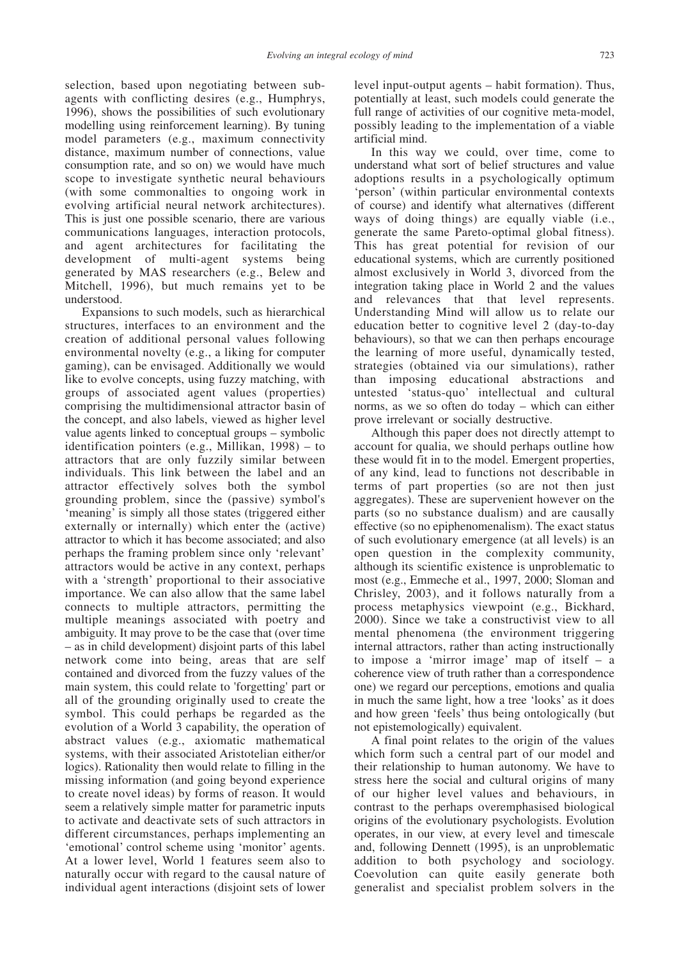selection, based upon negotiating between subagents with conflicting desires (e.g., Humphrys, 1996), shows the possibilities of such evolutionary modelling using reinforcement learning). By tuning model parameters (e.g., maximum connectivity distance, maximum number of connections, value consumption rate, and so on) we would have much scope to investigate synthetic neural behaviours (with some commonalties to ongoing work in evolving artificial neural network architectures). This is just one possible scenario, there are various communications languages, interaction protocols, and agent architectures for facilitating the development of multi-agent systems being generated by MAS researchers (e.g., Belew and Mitchell, 1996), but much remains yet to be understood.

Expansions to such models, such as hierarchical structures, interfaces to an environment and the creation of additional personal values following environmental novelty (e.g., a liking for computer gaming), can be envisaged. Additionally we would like to evolve concepts, using fuzzy matching, with groups of associated agent values (properties) comprising the multidimensional attractor basin of the concept, and also labels, viewed as higher level value agents linked to conceptual groups – symbolic identification pointers (e.g., Millikan, 1998) – to attractors that are only fuzzily similar between individuals. This link between the label and an attractor effectively solves both the symbol grounding problem, since the (passive) symbol's 'meaning' is simply all those states (triggered either externally or internally) which enter the (active) attractor to which it has become associated; and also perhaps the framing problem since only 'relevant' attractors would be active in any context, perhaps with a 'strength' proportional to their associative importance. We can also allow that the same label connects to multiple attractors, permitting the multiple meanings associated with poetry and ambiguity. It may prove to be the case that (over time – as in child development) disjoint parts of this label network come into being, areas that are self contained and divorced from the fuzzy values of the main system, this could relate to 'forgetting' part or all of the grounding originally used to create the symbol. This could perhaps be regarded as the evolution of a World 3 capability, the operation of abstract values (e.g., axiomatic mathematical systems, with their associated Aristotelian either/or logics). Rationality then would relate to filling in the missing information (and going beyond experience to create novel ideas) by forms of reason. It would seem a relatively simple matter for parametric inputs to activate and deactivate sets of such attractors in different circumstances, perhaps implementing an 'emotional' control scheme using 'monitor' agents. At a lower level, World 1 features seem also to naturally occur with regard to the causal nature of individual agent interactions (disjoint sets of lower level input-output agents – habit formation). Thus, potentially at least, such models could generate the full range of activities of our cognitive meta-model, possibly leading to the implementation of a viable artificial mind.

In this way we could, over time, come to understand what sort of belief structures and value adoptions results in a psychologically optimum 'person' (within particular environmental contexts of course) and identify what alternatives (different ways of doing things) are equally viable (i.e., generate the same Pareto-optimal global fitness). This has great potential for revision of our educational systems, which are currently positioned almost exclusively in World 3, divorced from the integration taking place in World 2 and the values and relevances that that level represents. Understanding Mind will allow us to relate our education better to cognitive level 2 (day-to-day behaviours), so that we can then perhaps encourage the learning of more useful, dynamically tested, strategies (obtained via our simulations), rather than imposing educational abstractions and untested 'status-quo' intellectual and cultural norms, as we so often do today – which can either prove irrelevant or socially destructive.

Although this paper does not directly attempt to account for qualia, we should perhaps outline how these would fit in to the model. Emergent properties, of any kind, lead to functions not describable in terms of part properties (so are not then just aggregates). These are supervenient however on the parts (so no substance dualism) and are causally effective (so no epiphenomenalism). The exact status of such evolutionary emergence (at all levels) is an open question in the complexity community, although its scientific existence is unproblematic to most (e.g., Emmeche et al., 1997, 2000; Sloman and Chrisley, 2003), and it follows naturally from a process metaphysics viewpoint (e.g., Bickhard, 2000). Since we take a constructivist view to all mental phenomena (the environment triggering internal attractors, rather than acting instructionally to impose a 'mirror image' map of itself – a coherence view of truth rather than a correspondence one) we regard our perceptions, emotions and qualia in much the same light, how a tree 'looks' as it does and how green 'feels' thus being ontologically (but not epistemologically) equivalent.

A final point relates to the origin of the values which form such a central part of our model and their relationship to human autonomy. We have to stress here the social and cultural origins of many of our higher level values and behaviours, in contrast to the perhaps overemphasised biological origins of the evolutionary psychologists. Evolution operates, in our view, at every level and timescale and, following Dennett (1995), is an unproblematic addition to both psychology and sociology. Coevolution can quite easily generate both generalist and specialist problem solvers in the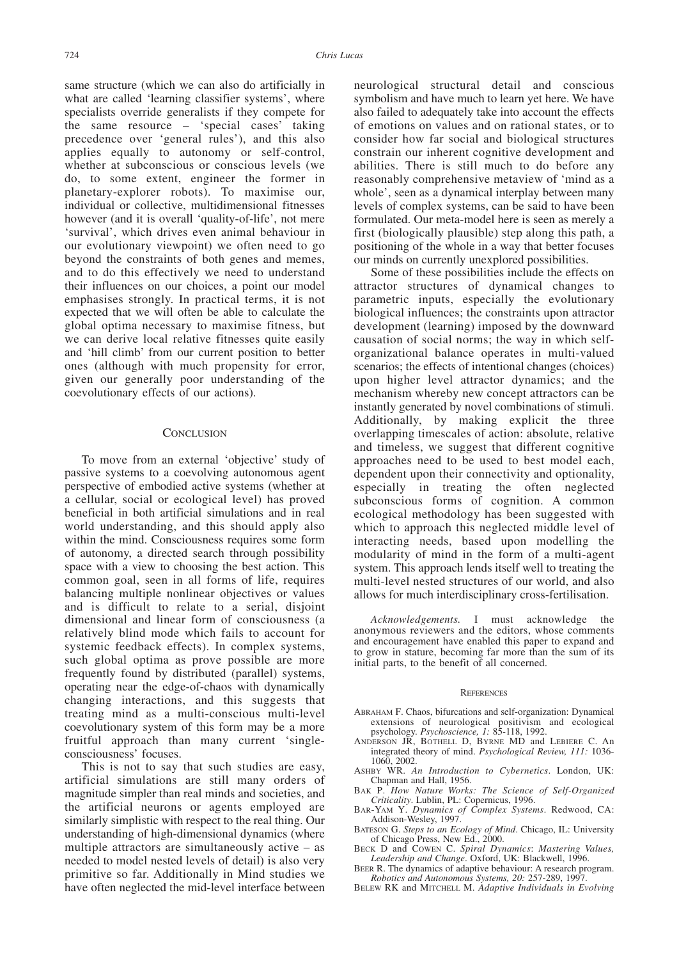same structure (which we can also do artificially in what are called 'learning classifier systems', where specialists override generalists if they compete for the same resource – 'special cases' taking precedence over 'general rules'), and this also applies equally to autonomy or self-control, whether at subconscious or conscious levels (we do, to some extent, engineer the former in planetary-explorer robots). To maximise our, individual or collective, multidimensional fitnesses however (and it is overall 'quality-of-life', not mere 'survival', which drives even animal behaviour in our evolutionary viewpoint) we often need to go beyond the constraints of both genes and memes, and to do this effectively we need to understand their influences on our choices, a point our model emphasises strongly. In practical terms, it is not expected that we will often be able to calculate the global optima necessary to maximise fitness, but we can derive local relative fitnesses quite easily and 'hill climb' from our current position to better ones (although with much propensity for error, given our generally poor understanding of the coevolutionary effects of our actions).

#### **CONCLUSION**

To move from an external 'objective' study of passive systems to a coevolving autonomous agent perspective of embodied active systems (whether at a cellular, social or ecological level) has proved beneficial in both artificial simulations and in real world understanding, and this should apply also within the mind. Consciousness requires some form of autonomy, a directed search through possibility space with a view to choosing the best action. This common goal, seen in all forms of life, requires balancing multiple nonlinear objectives or values and is difficult to relate to a serial, disjoint dimensional and linear form of consciousness (a relatively blind mode which fails to account for systemic feedback effects). In complex systems, such global optima as prove possible are more frequently found by distributed (parallel) systems, operating near the edge-of-chaos with dynamically changing interactions, and this suggests that treating mind as a multi-conscious multi-level coevolutionary system of this form may be a more fruitful approach than many current 'singleconsciousness' focuses.

This is not to say that such studies are easy, artificial simulations are still many orders of magnitude simpler than real minds and societies, and the artificial neurons or agents employed are similarly simplistic with respect to the real thing. Our understanding of high-dimensional dynamics (where multiple attractors are simultaneously active – as needed to model nested levels of detail) is also very primitive so far. Additionally in Mind studies we have often neglected the mid-level interface between

neurological structural detail and conscious symbolism and have much to learn yet here. We have also failed to adequately take into account the effects of emotions on values and on rational states, or to consider how far social and biological structures constrain our inherent cognitive development and abilities. There is still much to do before any reasonably comprehensive metaview of 'mind as a whole', seen as a dynamical interplay between many levels of complex systems, can be said to have been formulated. Our meta-model here is seen as merely a first (biologically plausible) step along this path, a positioning of the whole in a way that better focuses our minds on currently unexplored possibilities.

Some of these possibilities include the effects on attractor structures of dynamical changes to parametric inputs, especially the evolutionary biological influences; the constraints upon attractor development (learning) imposed by the downward causation of social norms; the way in which selforganizational balance operates in multi-valued scenarios; the effects of intentional changes (choices) upon higher level attractor dynamics; and the mechanism whereby new concept attractors can be instantly generated by novel combinations of stimuli. Additionally, by making explicit the three overlapping timescales of action: absolute, relative and timeless, we suggest that different cognitive approaches need to be used to best model each, dependent upon their connectivity and optionality, especially in treating the often neglected subconscious forms of cognition. A common ecological methodology has been suggested with which to approach this neglected middle level of interacting needs, based upon modelling the modularity of mind in the form of a multi-agent system. This approach lends itself well to treating the multi-level nested structures of our world, and also allows for much interdisciplinary cross-fertilisation.

*Acknowledgements.* I must acknowledge the anonymous reviewers and the editors, whose comments and encouragement have enabled this paper to expand and to grow in stature, becoming far more than the sum of its initial parts, to the benefit of all concerned.

#### **REFERENCES**

- ABRAHAM F. Chaos, bifurcations and self-organization: Dynamical extensions of neurological positivism and ecological psychology. *Psychoscience, 1:* 85-118, 1992.
- ANDERSON JR, BOTHELL D, BYRNE MD and LEBIERE C. An integrated theory of mind. *Psychological Review, 111:* 1036- 1060, 2002.
- ASHBY WR. *An Introduction to Cybernetics*. London, UK: Chapman and Hall, 1956.
- BAK P. *How Nature Works: The Science of Self-Organized Criticality*. Lublin, PL: Copernicus, 1996.
- BAR-YAM Y. *Dynamics of Complex Systems*. Redwood, CA: Addison-Wesley, 1997.
- BATESON G. *Steps to an Ecology of Mind*. Chicago, IL: University of Chicago Press, New Ed., 2000.
- BECK D and COWEN C. *Spiral Dynamics*: *Mastering Values, Leadership and Change*. Oxford, UK: Blackwell, 1996.
- BEER R. The dynamics of adaptive behaviour: A research program. *Robotics and Autonomous Systems, 20:* 257-289, 1997.
- BELEW RK and MITCHELL M. *Adaptive Individuals in Evolving*